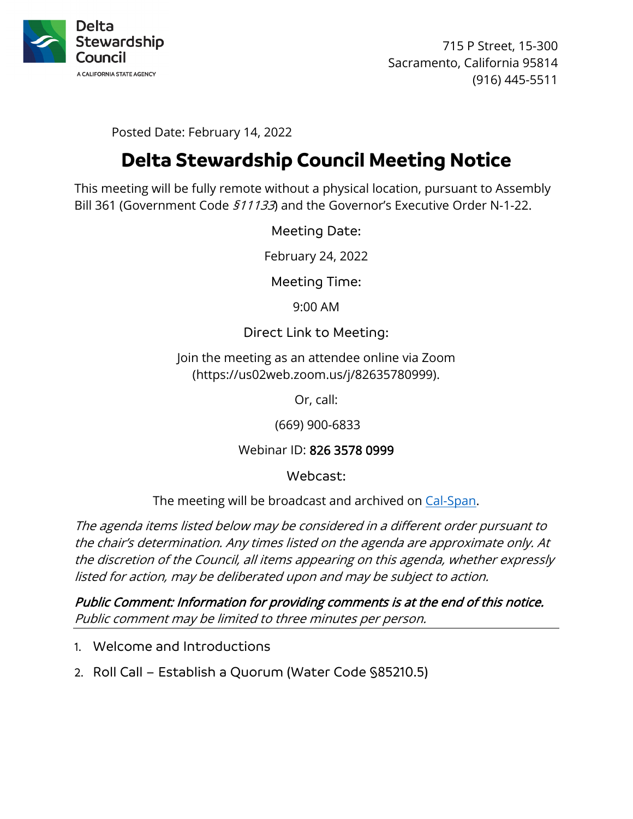

715 P Street, 15-300 Sacramento, California 95814 (916) 445-5511

Posted Date: February 14, 2022

# **Delta Stewardship Council Meeting Notice**

 This meeting will be fully remote without a physical location, pursuant to Assembly Bill 361 (Government Code  $$11133$ ) and the Governor's Executive Order N-1-22.

Meeting Date:

February 24, 2022

Meeting Time:

9:00 AM

#### Direct Link to Meeting:

Join the meeting as an attendee online via Zoom (https://us02web.zoom.us/j/82635780999).

Or, call:

(669) 900-6833

Webinar ID: 826 3578 0999

Webcast:

The meeting will be broadcast and archived on Cal-Span.

 the discretion of the Council, all items appearing on this agenda, whether expressly The agenda items listed below may be considered in a different order pursuant to the chair's determination. Any times listed on the agenda are approximate only. At listed for action, may be deliberated upon and may be subject to action.

Public Comment: Information for providing comments is at the end of this notice. Public comment may be limited to three minutes per person.

- 1. Welcome and Introductions
- 2. Roll Call Establish a Quorum (Water Code §85210.5)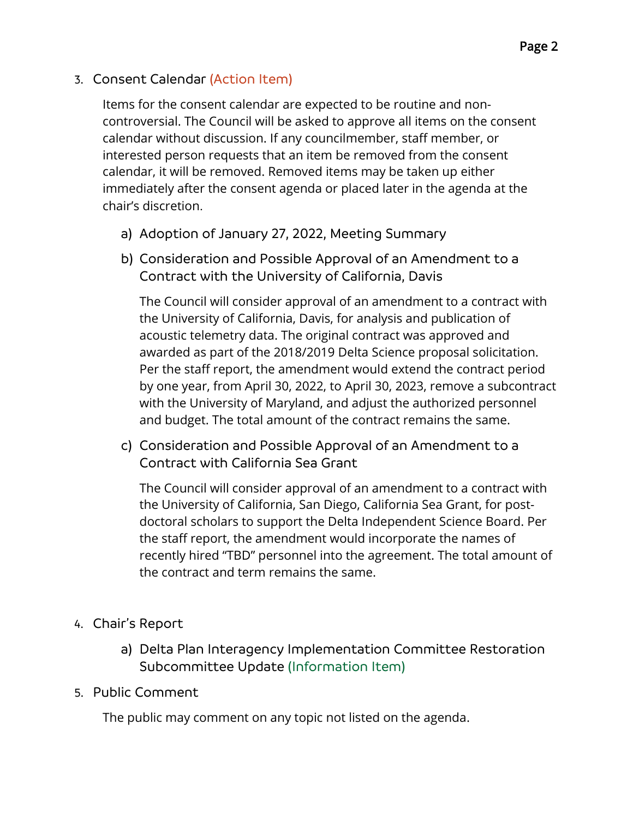# 3. Consent Calendar (Action Item)

 Items for the consent calendar are expected to be routine and non- controversial. The Council will be asked to approve all items on the consent interested person requests that an item be removed from the consent calendar without discussion. If any councilmember, staff member, or calendar, it will be removed. Removed items may be taken up either immediately after the consent agenda or placed later in the agenda at the chair's discretion.

- a) Adoption of January 27, 2022, Meeting Summary
- b) Consideration and Possible Approval of an Amendment to a Contract with the University of California, Davis

 by one year, from April 30, 2022, to April 30, 2023, remove a subcontract and budget. The total amount of the contract remains the same. The Council will consider approval of an amendment to a contract with the University of California, Davis, for analysis and publication of acoustic telemetry data. The original contract was approved and awarded as part of the 2018/2019 Delta Science proposal solicitation. Per the staff report, the amendment would extend the contract period with the University of Maryland, and adjust the authorized personnel

c) Consideration and Possible Approval of an Amendment to a Contract with California Sea Grant

 recently hired "TBD" personnel into the agreement. The total amount of The Council will consider approval of an amendment to a contract with the University of California, San Diego, California Sea Grant, for postdoctoral scholars to support the Delta Independent Science Board. Per the staff report, the amendment would incorporate the names of the contract and term remains the same.

- 4. Chair's Report
	- a) Delta Plan Interagency Implementation Committee Restoration Subcommittee Update (Information Item)
- 5. Public Comment

The public may comment on any topic not listed on the agenda.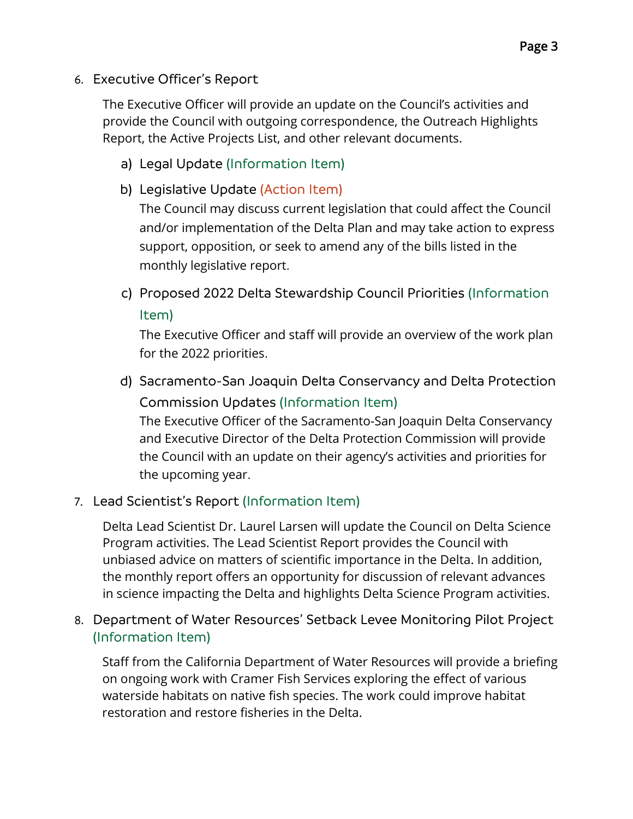6. Executive Officer's Report

The Executive Officer will provide an update on the Council's activities and provide the Council with outgoing correspondence, the Outreach Highlights Report, the Active Projects List, and other relevant documents.

- a) Legal Update (Information Item)
- b) Legislative Update (Action Item)

The Council may discuss current legislation that could affect the Council and/or implementation of the Delta Plan and may take action to express support, opposition, or seek to amend any of the bills listed in the monthly legislative report.

c) Proposed 2022 Delta Stewardship Council Priorities (Information Item)

 for the 2022 priorities. The Executive Officer and staff will provide an overview of the work plan

d) Sacramento-San Joaquin Delta Conservancy and Delta Protection Commission Updates (Information Item)

 and Executive Director of the Delta Protection Commission will provide The Executive Officer of the Sacramento-San Joaquin Delta Conservancy the Council with an update on their agency's activities and priorities for the upcoming year.

#### 7. Lead Scientist's Report (Information Item)

Delta Lead Scientist Dr. Laurel Larsen will update the Council on Delta Science Program activities. The Lead Scientist Report provides the Council with unbiased advice on matters of scientific importance in the Delta. In addition, the monthly report offers an opportunity for discussion of relevant advances in science impacting the Delta and highlights Delta Science Program activities.

8. Department of Water Resources' Setback Levee Monitoring Pilot Project (Information Item)

 on ongoing work with Cramer Fish Services exploring the effect of various Staff from the California Department of Water Resources will provide a briefing waterside habitats on native fish species. The work could improve habitat restoration and restore fisheries in the Delta.